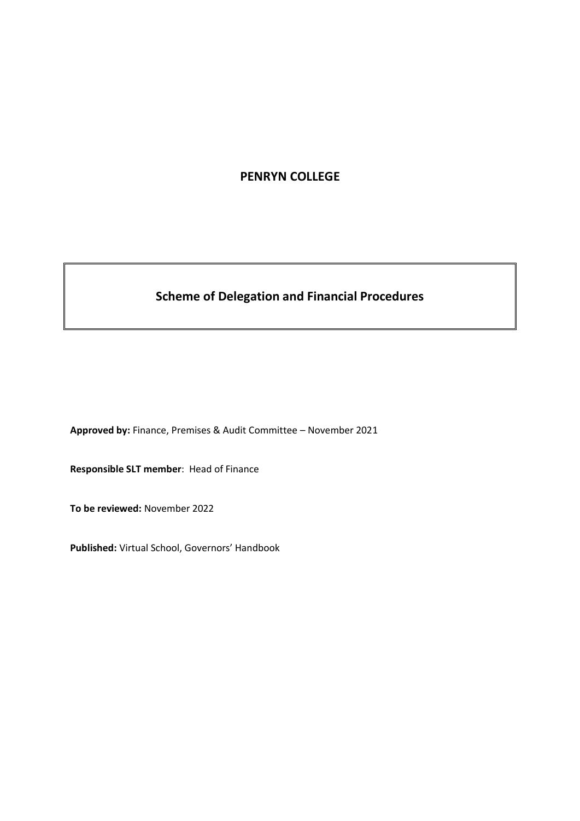# **PENRYN COLLEGE**

# **Scheme of Delegation and Financial Procedures**

**Approved by:** Finance, Premises & Audit Committee – November 2021

**Responsible SLT member**: Head of Finance

**To be reviewed:** November 2022

**Published:** Virtual School, Governors' Handbook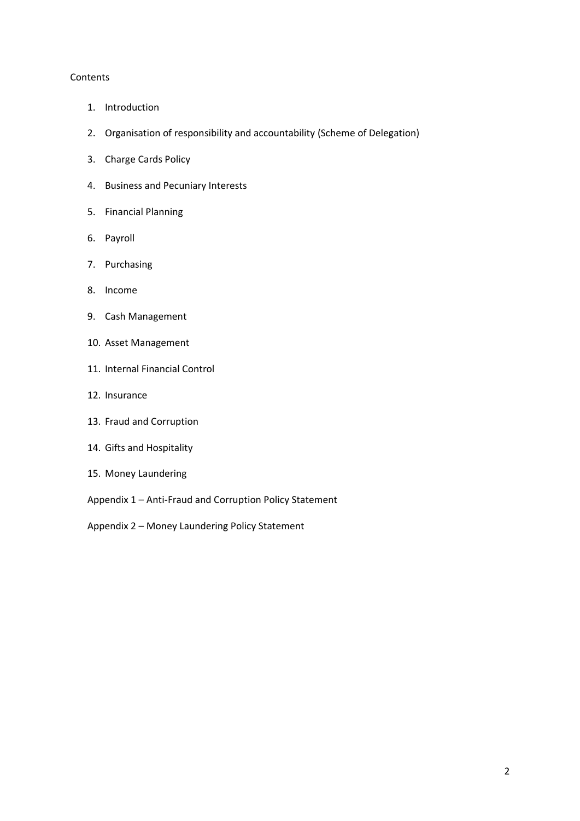#### Contents

- 1. Introduction
- 2. Organisation of responsibility and accountability (Scheme of Delegation)
- 3. Charge Cards Policy
- 4. Business and Pecuniary Interests
- 5. Financial Planning
- 6. Payroll
- 7. Purchasing
- 8. Income
- 9. Cash Management
- 10. Asset Management
- 11. Internal Financial Control
- 12. Insurance
- 13. Fraud and Corruption
- 14. Gifts and Hospitality
- 15. Money Laundering
- Appendix 1 Anti-Fraud and Corruption Policy Statement
- Appendix 2 Money Laundering Policy Statement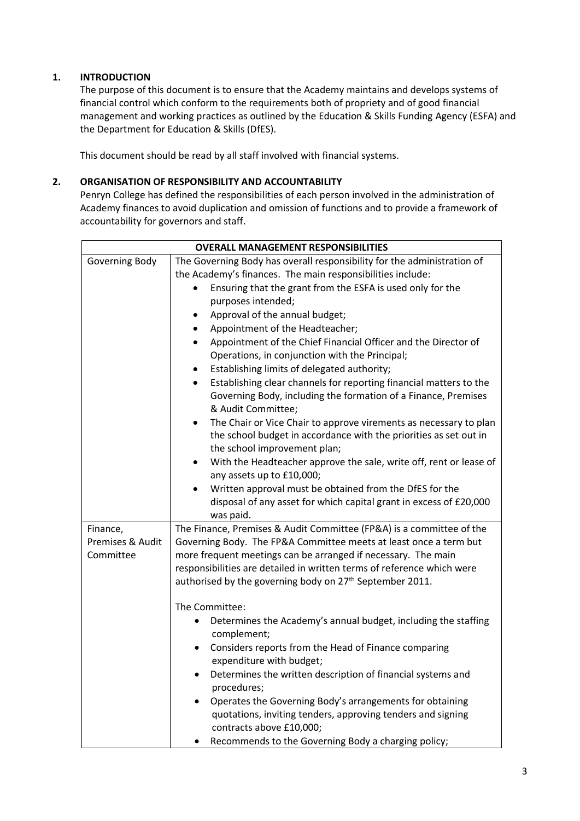# **1. INTRODUCTION**

The purpose of this document is to ensure that the Academy maintains and develops systems of financial control which conform to the requirements both of propriety and of good financial management and working practices as outlined by the Education & Skills Funding Agency (ESFA) and the Department for Education & Skills (DfES).

This document should be read by all staff involved with financial systems.

# **2. ORGANISATION OF RESPONSIBILITY AND ACCOUNTABILITY**

Penryn College has defined the responsibilities of each person involved in the administration of Academy finances to avoid duplication and omission of functions and to provide a framework of accountability for governors and staff.

| <b>OVERALL MANAGEMENT RESPONSIBILITIES</b> |                                                                                      |  |  |  |
|--------------------------------------------|--------------------------------------------------------------------------------------|--|--|--|
| Governing Body                             | The Governing Body has overall responsibility for the administration of              |  |  |  |
|                                            | the Academy's finances. The main responsibilities include:                           |  |  |  |
|                                            | Ensuring that the grant from the ESFA is used only for the<br>$\bullet$              |  |  |  |
|                                            | purposes intended;                                                                   |  |  |  |
|                                            | Approval of the annual budget;<br>$\bullet$                                          |  |  |  |
|                                            | Appointment of the Headteacher;<br>$\bullet$                                         |  |  |  |
|                                            | Appointment of the Chief Financial Officer and the Director of<br>$\bullet$          |  |  |  |
|                                            | Operations, in conjunction with the Principal;                                       |  |  |  |
|                                            | Establishing limits of delegated authority;<br>$\bullet$                             |  |  |  |
|                                            | Establishing clear channels for reporting financial matters to the<br>$\bullet$      |  |  |  |
|                                            | Governing Body, including the formation of a Finance, Premises<br>& Audit Committee; |  |  |  |
|                                            | The Chair or Vice Chair to approve virements as necessary to plan<br>$\bullet$       |  |  |  |
|                                            | the school budget in accordance with the priorities as set out in                    |  |  |  |
|                                            | the school improvement plan;                                                         |  |  |  |
|                                            | With the Headteacher approve the sale, write off, rent or lease of<br>$\bullet$      |  |  |  |
|                                            | any assets up to £10,000;                                                            |  |  |  |
|                                            | Written approval must be obtained from the DfES for the<br>$\bullet$                 |  |  |  |
|                                            | disposal of any asset for which capital grant in excess of £20,000                   |  |  |  |
|                                            | was paid.                                                                            |  |  |  |
| Finance,                                   | The Finance, Premises & Audit Committee (FP&A) is a committee of the                 |  |  |  |
| Premises & Audit                           | Governing Body. The FP&A Committee meets at least once a term but                    |  |  |  |
| Committee                                  | more frequent meetings can be arranged if necessary. The main                        |  |  |  |
|                                            | responsibilities are detailed in written terms of reference which were               |  |  |  |
|                                            | authorised by the governing body on 27 <sup>th</sup> September 2011.                 |  |  |  |
|                                            |                                                                                      |  |  |  |
|                                            | The Committee:                                                                       |  |  |  |
|                                            | Determines the Academy's annual budget, including the staffing<br>complement;        |  |  |  |
|                                            | Considers reports from the Head of Finance comparing<br>٠                            |  |  |  |
|                                            | expenditure with budget;                                                             |  |  |  |
|                                            | Determines the written description of financial systems and<br>٠<br>procedures;      |  |  |  |
|                                            | Operates the Governing Body's arrangements for obtaining                             |  |  |  |
|                                            | quotations, inviting tenders, approving tenders and signing                          |  |  |  |
|                                            | contracts above £10,000;                                                             |  |  |  |
|                                            | Recommends to the Governing Body a charging policy;                                  |  |  |  |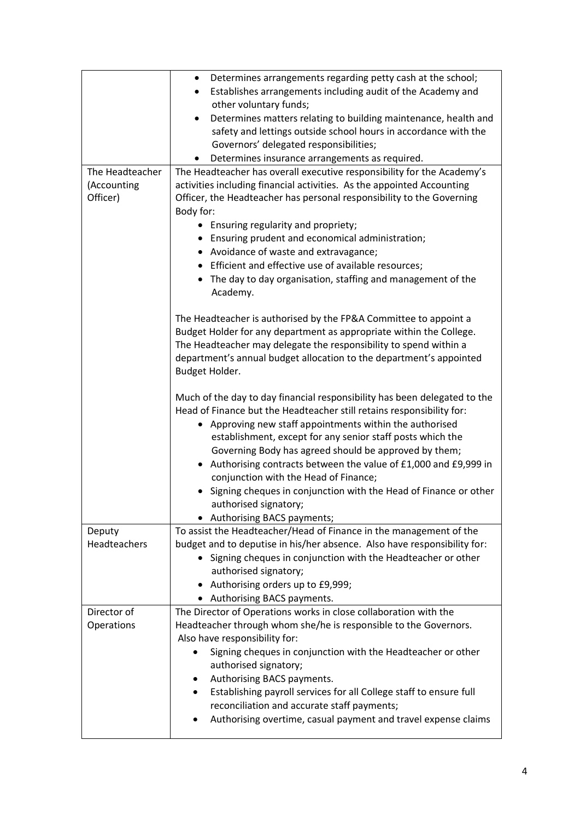|                         | Determines arrangements regarding petty cash at the school;<br>$\bullet$<br>Establishes arrangements including audit of the Academy and<br>$\bullet$         |  |  |  |  |  |
|-------------------------|--------------------------------------------------------------------------------------------------------------------------------------------------------------|--|--|--|--|--|
|                         | other voluntary funds;                                                                                                                                       |  |  |  |  |  |
|                         | Determines matters relating to building maintenance, health and<br>٠                                                                                         |  |  |  |  |  |
|                         | safety and lettings outside school hours in accordance with the                                                                                              |  |  |  |  |  |
|                         | Governors' delegated responsibilities;                                                                                                                       |  |  |  |  |  |
|                         | Determines insurance arrangements as required.                                                                                                               |  |  |  |  |  |
| The Headteacher         | The Headteacher has overall executive responsibility for the Academy's                                                                                       |  |  |  |  |  |
| (Accounting<br>Officer) | activities including financial activities. As the appointed Accounting<br>Officer, the Headteacher has personal responsibility to the Governing<br>Body for: |  |  |  |  |  |
|                         | • Ensuring regularity and propriety;                                                                                                                         |  |  |  |  |  |
|                         | • Ensuring prudent and economical administration;                                                                                                            |  |  |  |  |  |
|                         | • Avoidance of waste and extravagance;                                                                                                                       |  |  |  |  |  |
|                         | • Efficient and effective use of available resources;                                                                                                        |  |  |  |  |  |
|                         | • The day to day organisation, staffing and management of the                                                                                                |  |  |  |  |  |
|                         | Academy.                                                                                                                                                     |  |  |  |  |  |
|                         |                                                                                                                                                              |  |  |  |  |  |
|                         | The Headteacher is authorised by the FP&A Committee to appoint a                                                                                             |  |  |  |  |  |
|                         | Budget Holder for any department as appropriate within the College.<br>The Headteacher may delegate the responsibility to spend within a                     |  |  |  |  |  |
|                         | department's annual budget allocation to the department's appointed                                                                                          |  |  |  |  |  |
|                         | Budget Holder.                                                                                                                                               |  |  |  |  |  |
|                         | Much of the day to day financial responsibility has been delegated to the                                                                                    |  |  |  |  |  |
|                         | Head of Finance but the Headteacher still retains responsibility for:<br>• Approving new staff appointments within the authorised                            |  |  |  |  |  |
|                         | establishment, except for any senior staff posts which the                                                                                                   |  |  |  |  |  |
|                         | Governing Body has agreed should be approved by them;                                                                                                        |  |  |  |  |  |
|                         | Authorising contracts between the value of £1,000 and £9,999 in                                                                                              |  |  |  |  |  |
|                         | conjunction with the Head of Finance;                                                                                                                        |  |  |  |  |  |
|                         | Signing cheques in conjunction with the Head of Finance or other                                                                                             |  |  |  |  |  |
|                         | authorised signatory;                                                                                                                                        |  |  |  |  |  |
|                         | • Authorising BACS payments;                                                                                                                                 |  |  |  |  |  |
| Deputy                  | To assist the Headteacher/Head of Finance in the management of the                                                                                           |  |  |  |  |  |
| Headteachers            | budget and to deputise in his/her absence. Also have responsibility for:                                                                                     |  |  |  |  |  |
|                         | • Signing cheques in conjunction with the Headteacher or other                                                                                               |  |  |  |  |  |
|                         | authorised signatory;                                                                                                                                        |  |  |  |  |  |
|                         | Authorising orders up to £9,999;                                                                                                                             |  |  |  |  |  |
|                         | • Authorising BACS payments.                                                                                                                                 |  |  |  |  |  |
| Director of             | The Director of Operations works in close collaboration with the                                                                                             |  |  |  |  |  |
| Operations              | Headteacher through whom she/he is responsible to the Governors.                                                                                             |  |  |  |  |  |
|                         | Also have responsibility for:<br>Signing cheques in conjunction with the Headteacher or other                                                                |  |  |  |  |  |
|                         | authorised signatory;                                                                                                                                        |  |  |  |  |  |
|                         | Authorising BACS payments.                                                                                                                                   |  |  |  |  |  |
|                         | Establishing payroll services for all College staff to ensure full                                                                                           |  |  |  |  |  |
|                         | reconciliation and accurate staff payments;                                                                                                                  |  |  |  |  |  |
|                         | Authorising overtime, casual payment and travel expense claims                                                                                               |  |  |  |  |  |
|                         |                                                                                                                                                              |  |  |  |  |  |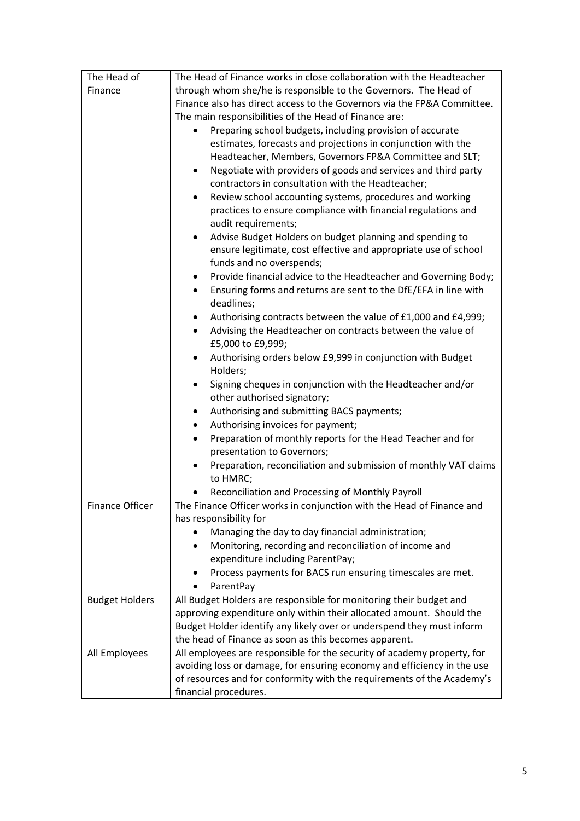| The Head of           | The Head of Finance works in close collaboration with the Headteacher        |  |  |  |  |
|-----------------------|------------------------------------------------------------------------------|--|--|--|--|
| Finance               | through whom she/he is responsible to the Governors. The Head of             |  |  |  |  |
|                       | Finance also has direct access to the Governors via the FP&A Committee.      |  |  |  |  |
|                       | The main responsibilities of the Head of Finance are:                        |  |  |  |  |
|                       | Preparing school budgets, including provision of accurate                    |  |  |  |  |
|                       | estimates, forecasts and projections in conjunction with the                 |  |  |  |  |
|                       | Headteacher, Members, Governors FP&A Committee and SLT;                      |  |  |  |  |
|                       | Negotiate with providers of goods and services and third party<br>٠          |  |  |  |  |
|                       | contractors in consultation with the Headteacher;                            |  |  |  |  |
|                       | Review school accounting systems, procedures and working<br>٠                |  |  |  |  |
|                       | practices to ensure compliance with financial regulations and                |  |  |  |  |
|                       | audit requirements;                                                          |  |  |  |  |
|                       | Advise Budget Holders on budget planning and spending to<br>$\bullet$        |  |  |  |  |
|                       | ensure legitimate, cost effective and appropriate use of school              |  |  |  |  |
|                       | funds and no overspends;                                                     |  |  |  |  |
|                       | Provide financial advice to the Headteacher and Governing Body;<br>٠         |  |  |  |  |
|                       | Ensuring forms and returns are sent to the DfE/EFA in line with<br>$\bullet$ |  |  |  |  |
|                       | deadlines;                                                                   |  |  |  |  |
|                       | Authorising contracts between the value of £1,000 and £4,999;<br>٠           |  |  |  |  |
|                       | Advising the Headteacher on contracts between the value of<br>$\bullet$      |  |  |  |  |
|                       | £5,000 to £9,999;                                                            |  |  |  |  |
|                       | Authorising orders below £9,999 in conjunction with Budget<br>٠              |  |  |  |  |
|                       | Holders;                                                                     |  |  |  |  |
|                       | Signing cheques in conjunction with the Headteacher and/or<br>٠              |  |  |  |  |
|                       | other authorised signatory;                                                  |  |  |  |  |
|                       | Authorising and submitting BACS payments;<br>٠                               |  |  |  |  |
|                       | Authorising invoices for payment;<br>$\bullet$                               |  |  |  |  |
|                       | Preparation of monthly reports for the Head Teacher and for<br>٠             |  |  |  |  |
|                       | presentation to Governors;                                                   |  |  |  |  |
|                       | Preparation, reconciliation and submission of monthly VAT claims             |  |  |  |  |
|                       | to HMRC;                                                                     |  |  |  |  |
|                       | Reconciliation and Processing of Monthly Payroll                             |  |  |  |  |
| Finance Officer       | The Finance Officer works in conjunction with the Head of Finance and        |  |  |  |  |
|                       | has responsibility for                                                       |  |  |  |  |
|                       | Managing the day to day financial administration;                            |  |  |  |  |
|                       | Monitoring, recording and reconciliation of income and                       |  |  |  |  |
|                       | expenditure including ParentPay;                                             |  |  |  |  |
|                       | Process payments for BACS run ensuring timescales are met.                   |  |  |  |  |
|                       | ParentPay                                                                    |  |  |  |  |
| <b>Budget Holders</b> | All Budget Holders are responsible for monitoring their budget and           |  |  |  |  |
|                       | approving expenditure only within their allocated amount. Should the         |  |  |  |  |
|                       | Budget Holder identify any likely over or underspend they must inform        |  |  |  |  |
|                       | the head of Finance as soon as this becomes apparent.                        |  |  |  |  |
| All Employees         | All employees are responsible for the security of academy property, for      |  |  |  |  |
|                       | avoiding loss or damage, for ensuring economy and efficiency in the use      |  |  |  |  |
|                       | of resources and for conformity with the requirements of the Academy's       |  |  |  |  |
|                       | financial procedures.                                                        |  |  |  |  |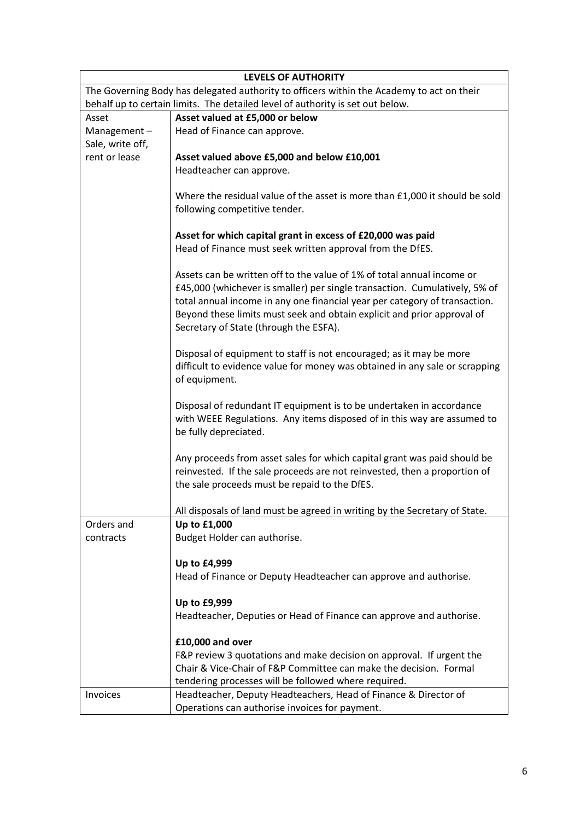|                                                                                           | <b>LEVELS OF AUTHORITY</b>                                                                                                                                                                                                                                                                                                                              |  |  |  |
|-------------------------------------------------------------------------------------------|---------------------------------------------------------------------------------------------------------------------------------------------------------------------------------------------------------------------------------------------------------------------------------------------------------------------------------------------------------|--|--|--|
| The Governing Body has delegated authority to officers within the Academy to act on their |                                                                                                                                                                                                                                                                                                                                                         |  |  |  |
| behalf up to certain limits. The detailed level of authority is set out below.            |                                                                                                                                                                                                                                                                                                                                                         |  |  |  |
| Asset                                                                                     | Asset valued at £5,000 or below                                                                                                                                                                                                                                                                                                                         |  |  |  |
| Management-<br>Sale, write off,                                                           | Head of Finance can approve.                                                                                                                                                                                                                                                                                                                            |  |  |  |
| rent or lease                                                                             | Asset valued above £5,000 and below £10,001                                                                                                                                                                                                                                                                                                             |  |  |  |
|                                                                                           | Headteacher can approve.                                                                                                                                                                                                                                                                                                                                |  |  |  |
|                                                                                           | Where the residual value of the asset is more than £1,000 it should be sold<br>following competitive tender.                                                                                                                                                                                                                                            |  |  |  |
|                                                                                           |                                                                                                                                                                                                                                                                                                                                                         |  |  |  |
|                                                                                           | Asset for which capital grant in excess of £20,000 was paid<br>Head of Finance must seek written approval from the DfES.                                                                                                                                                                                                                                |  |  |  |
|                                                                                           | Assets can be written off to the value of 1% of total annual income or<br>£45,000 (whichever is smaller) per single transaction. Cumulatively, 5% of<br>total annual income in any one financial year per category of transaction.<br>Beyond these limits must seek and obtain explicit and prior approval of<br>Secretary of State (through the ESFA). |  |  |  |
|                                                                                           | Disposal of equipment to staff is not encouraged; as it may be more<br>difficult to evidence value for money was obtained in any sale or scrapping<br>of equipment.                                                                                                                                                                                     |  |  |  |
|                                                                                           | Disposal of redundant IT equipment is to be undertaken in accordance<br>with WEEE Regulations. Any items disposed of in this way are assumed to<br>be fully depreciated.                                                                                                                                                                                |  |  |  |
|                                                                                           | Any proceeds from asset sales for which capital grant was paid should be<br>reinvested. If the sale proceeds are not reinvested, then a proportion of<br>the sale proceeds must be repaid to the DfES.                                                                                                                                                  |  |  |  |
|                                                                                           | All disposals of land must be agreed in writing by the Secretary of State.                                                                                                                                                                                                                                                                              |  |  |  |
| Orders and                                                                                | Up to £1,000                                                                                                                                                                                                                                                                                                                                            |  |  |  |
| contracts                                                                                 | Budget Holder can authorise.                                                                                                                                                                                                                                                                                                                            |  |  |  |
|                                                                                           | Up to £4,999                                                                                                                                                                                                                                                                                                                                            |  |  |  |
|                                                                                           | Head of Finance or Deputy Headteacher can approve and authorise.                                                                                                                                                                                                                                                                                        |  |  |  |
|                                                                                           | Up to £9,999                                                                                                                                                                                                                                                                                                                                            |  |  |  |
|                                                                                           | Headteacher, Deputies or Head of Finance can approve and authorise.                                                                                                                                                                                                                                                                                     |  |  |  |
|                                                                                           | £10,000 and over                                                                                                                                                                                                                                                                                                                                        |  |  |  |
|                                                                                           | F&P review 3 quotations and make decision on approval. If urgent the                                                                                                                                                                                                                                                                                    |  |  |  |
|                                                                                           | Chair & Vice-Chair of F&P Committee can make the decision. Formal                                                                                                                                                                                                                                                                                       |  |  |  |
|                                                                                           | tendering processes will be followed where required.                                                                                                                                                                                                                                                                                                    |  |  |  |
| Invoices                                                                                  | Headteacher, Deputy Headteachers, Head of Finance & Director of                                                                                                                                                                                                                                                                                         |  |  |  |
|                                                                                           | Operations can authorise invoices for payment.                                                                                                                                                                                                                                                                                                          |  |  |  |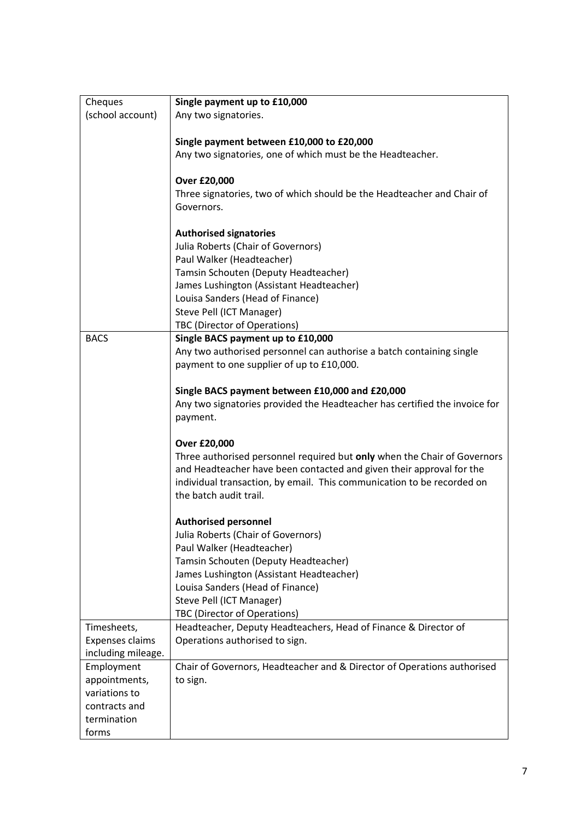| Cheques                | Single payment up to £10,000                                               |  |  |
|------------------------|----------------------------------------------------------------------------|--|--|
| (school account)       | Any two signatories.                                                       |  |  |
|                        |                                                                            |  |  |
|                        | Single payment between £10,000 to £20,000                                  |  |  |
|                        | Any two signatories, one of which must be the Headteacher.                 |  |  |
|                        |                                                                            |  |  |
|                        | <b>Over £20,000</b>                                                        |  |  |
|                        | Three signatories, two of which should be the Headteacher and Chair of     |  |  |
|                        | Governors.                                                                 |  |  |
|                        |                                                                            |  |  |
|                        | <b>Authorised signatories</b>                                              |  |  |
|                        | Julia Roberts (Chair of Governors)                                         |  |  |
|                        | Paul Walker (Headteacher)                                                  |  |  |
|                        | Tamsin Schouten (Deputy Headteacher)                                       |  |  |
|                        | James Lushington (Assistant Headteacher)                                   |  |  |
|                        | Louisa Sanders (Head of Finance)                                           |  |  |
|                        | Steve Pell (ICT Manager)                                                   |  |  |
|                        | TBC (Director of Operations)                                               |  |  |
| <b>BACS</b>            | Single BACS payment up to £10,000                                          |  |  |
|                        | Any two authorised personnel can authorise a batch containing single       |  |  |
|                        | payment to one supplier of up to £10,000.                                  |  |  |
|                        | Single BACS payment between £10,000 and £20,000                            |  |  |
|                        | Any two signatories provided the Headteacher has certified the invoice for |  |  |
|                        | payment.                                                                   |  |  |
|                        |                                                                            |  |  |
|                        | <b>Over £20,000</b>                                                        |  |  |
|                        | Three authorised personnel required but only when the Chair of Governors   |  |  |
|                        | and Headteacher have been contacted and given their approval for the       |  |  |
|                        | individual transaction, by email. This communication to be recorded on     |  |  |
|                        | the batch audit trail.                                                     |  |  |
|                        |                                                                            |  |  |
|                        | <b>Authorised personnel</b>                                                |  |  |
|                        | Julia Roberts (Chair of Governors)                                         |  |  |
|                        | Paul Walker (Headteacher)                                                  |  |  |
|                        | Tamsin Schouten (Deputy Headteacher)                                       |  |  |
|                        | James Lushington (Assistant Headteacher)                                   |  |  |
|                        | Louisa Sanders (Head of Finance)                                           |  |  |
|                        | Steve Pell (ICT Manager)                                                   |  |  |
|                        | TBC (Director of Operations)                                               |  |  |
| Timesheets,            | Headteacher, Deputy Headteachers, Head of Finance & Director of            |  |  |
| <b>Expenses claims</b> | Operations authorised to sign.                                             |  |  |
| including mileage.     |                                                                            |  |  |
| Employment             | Chair of Governors, Headteacher and & Director of Operations authorised    |  |  |
| appointments,          | to sign.                                                                   |  |  |
| variations to          |                                                                            |  |  |
| contracts and          |                                                                            |  |  |
| termination            |                                                                            |  |  |
| forms                  |                                                                            |  |  |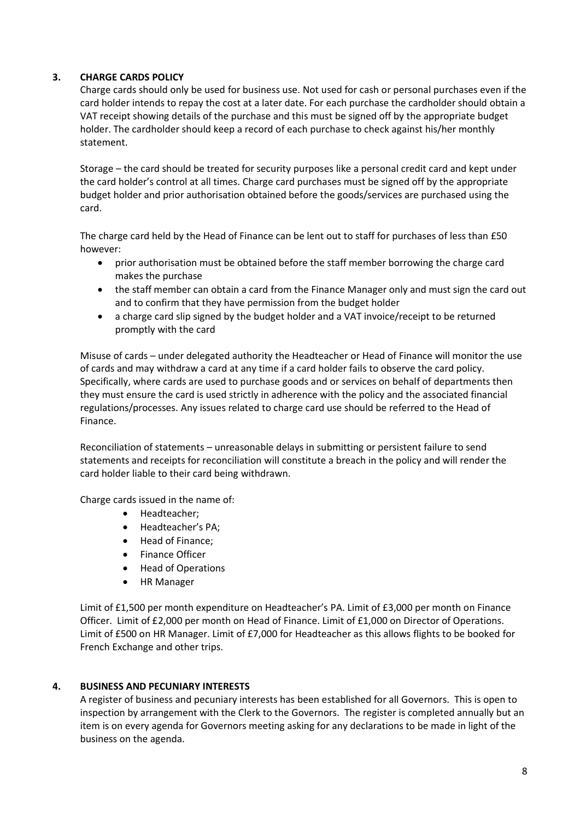# **3. CHARGE CARDS POLICY**

Charge cards should only be used for business use. Not used for cash or personal purchases even if the card holder intends to repay the cost at a later date. For each purchase the cardholder should obtain a VAT receipt showing details of the purchase and this must be signed off by the appropriate budget holder. The cardholder should keep a record of each purchase to check against his/her monthly statement.

Storage – the card should be treated for security purposes like a personal credit card and kept under the card holder's control at all times. Charge card purchases must be signed off by the appropriate budget holder and prior authorisation obtained before the goods/services are purchased using the card.

The charge card held by the Head of Finance can be lent out to staff for purchases of less than £50 however:

- prior authorisation must be obtained before the staff member borrowing the charge card makes the purchase
- the staff member can obtain a card from the Finance Manager only and must sign the card out and to confirm that they have permission from the budget holder
- a charge card slip signed by the budget holder and a VAT invoice/receipt to be returned promptly with the card

Misuse of cards – under delegated authority the Headteacher or Head of Finance will monitor the use of cards and may withdraw a card at any time if a card holder fails to observe the card policy. Specifically, where cards are used to purchase goods and or services on behalf of departments then they must ensure the card is used strictly in adherence with the policy and the associated financial regulations/processes. Any issues related to charge card use should be referred to the Head of Finance.

Reconciliation of statements – unreasonable delays in submitting or persistent failure to send statements and receipts for reconciliation will constitute a breach in the policy and will render the card holder liable to their card being withdrawn.

Charge cards issued in the name of:

- Headteacher;
- Headteacher's PA;
- Head of Finance;
- Finance Officer
- Head of Operations
- HR Manager

Limit of £1,500 per month expenditure on Headteacher's PA. Limit of £3,000 per month on Finance Officer. Limit of £2,000 per month on Head of Finance. Limit of £1,000 on Director of Operations. Limit of £500 on HR Manager. Limit of £7,000 for Headteacher as this allows flights to be booked for French Exchange and other trips.

# **4. BUSINESS AND PECUNIARY INTERESTS**

A register of business and pecuniary interests has been established for all Governors. This is open to inspection by arrangement with the Clerk to the Governors. The register is completed annually but an item is on every agenda for Governors meeting asking for any declarations to be made in light of the business on the agenda.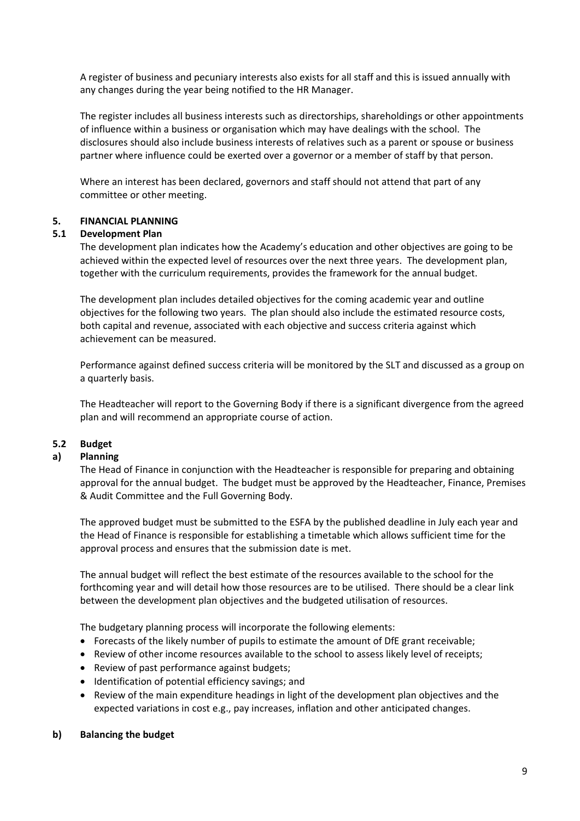A register of business and pecuniary interests also exists for all staff and this is issued annually with any changes during the year being notified to the HR Manager.

The register includes all business interests such as directorships, shareholdings or other appointments of influence within a business or organisation which may have dealings with the school. The disclosures should also include business interests of relatives such as a parent or spouse or business partner where influence could be exerted over a governor or a member of staff by that person.

Where an interest has been declared, governors and staff should not attend that part of any committee or other meeting.

### **5. FINANCIAL PLANNING**

### **5.1 Development Plan**

The development plan indicates how the Academy's education and other objectives are going to be achieved within the expected level of resources over the next three years. The development plan, together with the curriculum requirements, provides the framework for the annual budget.

The development plan includes detailed objectives for the coming academic year and outline objectives for the following two years. The plan should also include the estimated resource costs, both capital and revenue, associated with each objective and success criteria against which achievement can be measured.

Performance against defined success criteria will be monitored by the SLT and discussed as a group on a quarterly basis.

The Headteacher will report to the Governing Body if there is a significant divergence from the agreed plan and will recommend an appropriate course of action.

### **5.2 Budget**

### **a) Planning**

The Head of Finance in conjunction with the Headteacher is responsible for preparing and obtaining approval for the annual budget. The budget must be approved by the Headteacher, Finance, Premises & Audit Committee and the Full Governing Body.

The approved budget must be submitted to the ESFA by the published deadline in July each year and the Head of Finance is responsible for establishing a timetable which allows sufficient time for the approval process and ensures that the submission date is met.

The annual budget will reflect the best estimate of the resources available to the school for the forthcoming year and will detail how those resources are to be utilised. There should be a clear link between the development plan objectives and the budgeted utilisation of resources.

The budgetary planning process will incorporate the following elements:

- Forecasts of the likely number of pupils to estimate the amount of DfE grant receivable;
- Review of other income resources available to the school to assess likely level of receipts;
- Review of past performance against budgets;
- Identification of potential efficiency savings; and
- Review of the main expenditure headings in light of the development plan objectives and the expected variations in cost e.g., pay increases, inflation and other anticipated changes.

#### **b) Balancing the budget**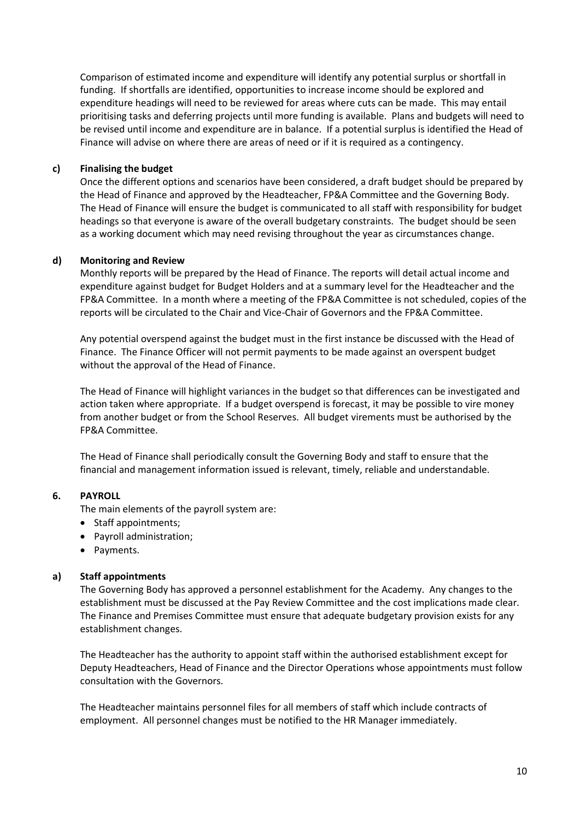Comparison of estimated income and expenditure will identify any potential surplus or shortfall in funding. If shortfalls are identified, opportunities to increase income should be explored and expenditure headings will need to be reviewed for areas where cuts can be made. This may entail prioritising tasks and deferring projects until more funding is available. Plans and budgets will need to be revised until income and expenditure are in balance. If a potential surplus is identified the Head of Finance will advise on where there are areas of need or if it is required as a contingency.

### **c) Finalising the budget**

Once the different options and scenarios have been considered, a draft budget should be prepared by the Head of Finance and approved by the Headteacher, FP&A Committee and the Governing Body. The Head of Finance will ensure the budget is communicated to all staff with responsibility for budget headings so that everyone is aware of the overall budgetary constraints. The budget should be seen as a working document which may need revising throughout the year as circumstances change.

### **d) Monitoring and Review**

Monthly reports will be prepared by the Head of Finance. The reports will detail actual income and expenditure against budget for Budget Holders and at a summary level for the Headteacher and the FP&A Committee. In a month where a meeting of the FP&A Committee is not scheduled, copies of the reports will be circulated to the Chair and Vice-Chair of Governors and the FP&A Committee.

Any potential overspend against the budget must in the first instance be discussed with the Head of Finance. The Finance Officer will not permit payments to be made against an overspent budget without the approval of the Head of Finance.

The Head of Finance will highlight variances in the budget so that differences can be investigated and action taken where appropriate. If a budget overspend is forecast, it may be possible to vire money from another budget or from the School Reserves. All budget virements must be authorised by the FP&A Committee.

The Head of Finance shall periodically consult the Governing Body and staff to ensure that the financial and management information issued is relevant, timely, reliable and understandable.

# **6. PAYROLL**

The main elements of the payroll system are:

- Staff appointments;
- Payroll administration;
- Payments.

# **a) Staff appointments**

The Governing Body has approved a personnel establishment for the Academy. Any changes to the establishment must be discussed at the Pay Review Committee and the cost implications made clear. The Finance and Premises Committee must ensure that adequate budgetary provision exists for any establishment changes.

The Headteacher has the authority to appoint staff within the authorised establishment except for Deputy Headteachers, Head of Finance and the Director Operations whose appointments must follow consultation with the Governors.

The Headteacher maintains personnel files for all members of staff which include contracts of employment. All personnel changes must be notified to the HR Manager immediately.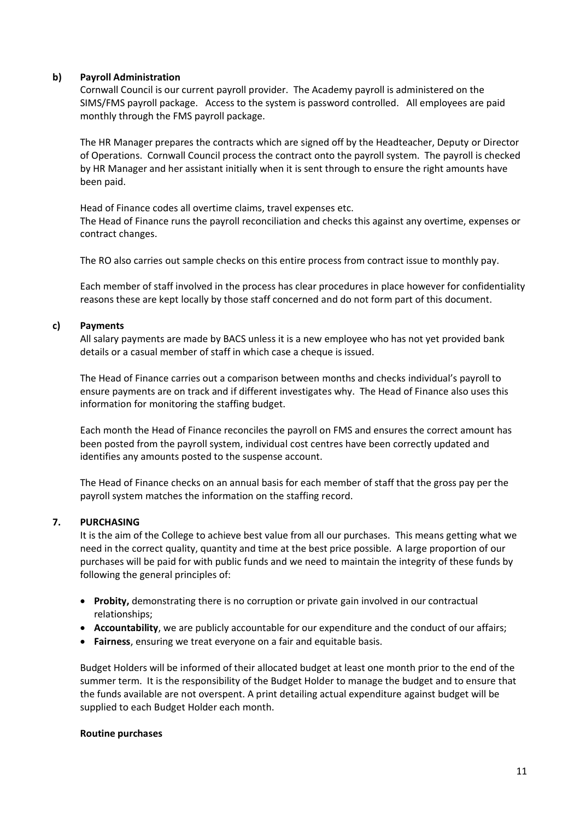### **b) Payroll Administration**

Cornwall Council is our current payroll provider. The Academy payroll is administered on the SIMS/FMS payroll package. Access to the system is password controlled. All employees are paid monthly through the FMS payroll package.

The HR Manager prepares the contracts which are signed off by the Headteacher, Deputy or Director of Operations. Cornwall Council process the contract onto the payroll system. The payroll is checked by HR Manager and her assistant initially when it is sent through to ensure the right amounts have been paid.

Head of Finance codes all overtime claims, travel expenses etc. The Head of Finance runs the payroll reconciliation and checks this against any overtime, expenses or contract changes.

The RO also carries out sample checks on this entire process from contract issue to monthly pay.

Each member of staff involved in the process has clear procedures in place however for confidentiality reasons these are kept locally by those staff concerned and do not form part of this document.

### **c) Payments**

All salary payments are made by BACS unless it is a new employee who has not yet provided bank details or a casual member of staff in which case a cheque is issued.

The Head of Finance carries out a comparison between months and checks individual's payroll to ensure payments are on track and if different investigates why. The Head of Finance also uses this information for monitoring the staffing budget.

Each month the Head of Finance reconciles the payroll on FMS and ensures the correct amount has been posted from the payroll system, individual cost centres have been correctly updated and identifies any amounts posted to the suspense account.

The Head of Finance checks on an annual basis for each member of staff that the gross pay per the payroll system matches the information on the staffing record.

# **7. PURCHASING**

It is the aim of the College to achieve best value from all our purchases. This means getting what we need in the correct quality, quantity and time at the best price possible. A large proportion of our purchases will be paid for with public funds and we need to maintain the integrity of these funds by following the general principles of:

- **Probity,** demonstrating there is no corruption or private gain involved in our contractual relationships;
- **Accountability**, we are publicly accountable for our expenditure and the conduct of our affairs;
- **Fairness**, ensuring we treat everyone on a fair and equitable basis.

Budget Holders will be informed of their allocated budget at least one month prior to the end of the summer term. It is the responsibility of the Budget Holder to manage the budget and to ensure that the funds available are not overspent. A print detailing actual expenditure against budget will be supplied to each Budget Holder each month.

### **Routine purchases**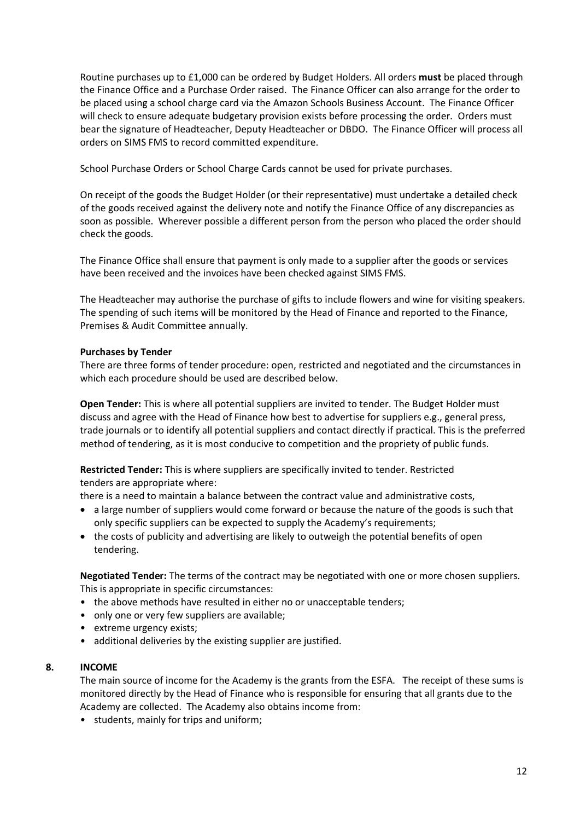Routine purchases up to £1,000 can be ordered by Budget Holders. All orders **must** be placed through the Finance Office and a Purchase Order raised. The Finance Officer can also arrange for the order to be placed using a school charge card via the Amazon Schools Business Account. The Finance Officer will check to ensure adequate budgetary provision exists before processing the order. Orders must bear the signature of Headteacher, Deputy Headteacher or DBDO. The Finance Officer will process all orders on SIMS FMS to record committed expenditure.

School Purchase Orders or School Charge Cards cannot be used for private purchases.

On receipt of the goods the Budget Holder (or their representative) must undertake a detailed check of the goods received against the delivery note and notify the Finance Office of any discrepancies as soon as possible. Wherever possible a different person from the person who placed the order should check the goods.

The Finance Office shall ensure that payment is only made to a supplier after the goods or services have been received and the invoices have been checked against SIMS FMS.

The Headteacher may authorise the purchase of gifts to include flowers and wine for visiting speakers. The spending of such items will be monitored by the Head of Finance and reported to the Finance, Premises & Audit Committee annually.

### **Purchases by Tender**

There are three forms of tender procedure: open, restricted and negotiated and the circumstances in which each procedure should be used are described below.

**Open Tender:** This is where all potential suppliers are invited to tender. The Budget Holder must discuss and agree with the Head of Finance how best to advertise for suppliers e.g., general press, trade journals or to identify all potential suppliers and contact directly if practical. This is the preferred method of tendering, as it is most conducive to competition and the propriety of public funds.

**Restricted Tender:** This is where suppliers are specifically invited to tender. Restricted tenders are appropriate where:

there is a need to maintain a balance between the contract value and administrative costs,

- a large number of suppliers would come forward or because the nature of the goods is such that only specific suppliers can be expected to supply the Academy's requirements;
- the costs of publicity and advertising are likely to outweigh the potential benefits of open tendering.

**Negotiated Tender:** The terms of the contract may be negotiated with one or more chosen suppliers. This is appropriate in specific circumstances:

- the above methods have resulted in either no or unacceptable tenders;
- only one or very few suppliers are available;
- extreme urgency exists;
- additional deliveries by the existing supplier are justified.

### **8. INCOME**

The main source of income for the Academy is the grants from the ESFA. The receipt of these sums is monitored directly by the Head of Finance who is responsible for ensuring that all grants due to the Academy are collected. The Academy also obtains income from:

• students, mainly for trips and uniform;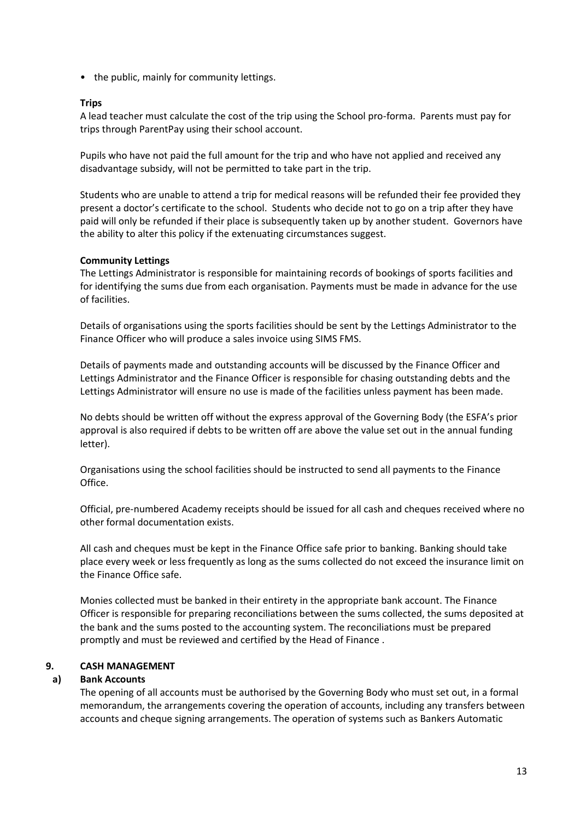• the public, mainly for community lettings.

### **Trips**

A lead teacher must calculate the cost of the trip using the School pro-forma. Parents must pay for trips through ParentPay using their school account.

Pupils who have not paid the full amount for the trip and who have not applied and received any disadvantage subsidy, will not be permitted to take part in the trip.

Students who are unable to attend a trip for medical reasons will be refunded their fee provided they present a doctor's certificate to the school. Students who decide not to go on a trip after they have paid will only be refunded if their place is subsequently taken up by another student. Governors have the ability to alter this policy if the extenuating circumstances suggest.

### **Community Lettings**

The Lettings Administrator is responsible for maintaining records of bookings of sports facilities and for identifying the sums due from each organisation. Payments must be made in advance for the use of facilities.

Details of organisations using the sports facilities should be sent by the Lettings Administrator to the Finance Officer who will produce a sales invoice using SIMS FMS.

Details of payments made and outstanding accounts will be discussed by the Finance Officer and Lettings Administrator and the Finance Officer is responsible for chasing outstanding debts and the Lettings Administrator will ensure no use is made of the facilities unless payment has been made.

No debts should be written off without the express approval of the Governing Body (the ESFA's prior approval is also required if debts to be written off are above the value set out in the annual funding letter).

Organisations using the school facilities should be instructed to send all payments to the Finance Office.

Official, pre-numbered Academy receipts should be issued for all cash and cheques received where no other formal documentation exists.

All cash and cheques must be kept in the Finance Office safe prior to banking. Banking should take place every week or less frequently as long as the sums collected do not exceed the insurance limit on the Finance Office safe.

Monies collected must be banked in their entirety in the appropriate bank account. The Finance Officer is responsible for preparing reconciliations between the sums collected, the sums deposited at the bank and the sums posted to the accounting system. The reconciliations must be prepared promptly and must be reviewed and certified by the Head of Finance .

# **9. CASH MANAGEMENT**

### **a) Bank Accounts**

The opening of all accounts must be authorised by the Governing Body who must set out, in a formal memorandum, the arrangements covering the operation of accounts, including any transfers between accounts and cheque signing arrangements. The operation of systems such as Bankers Automatic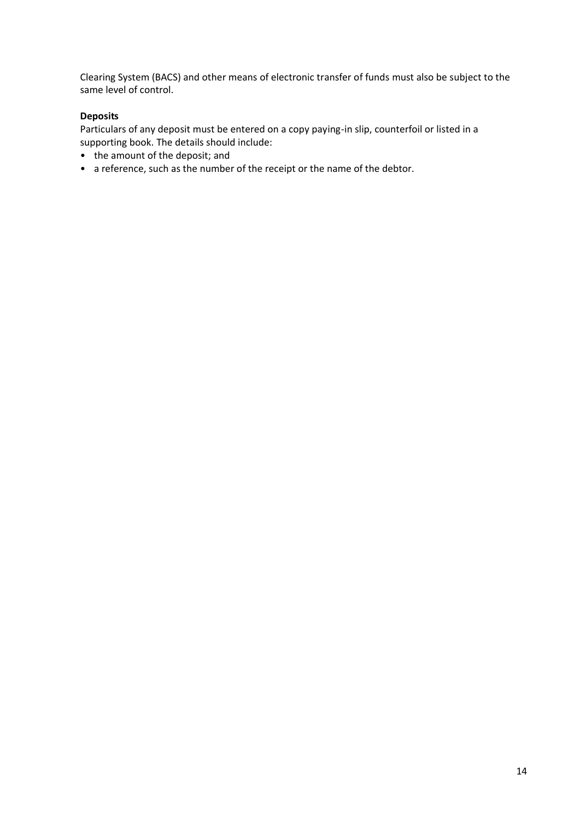Clearing System (BACS) and other means of electronic transfer of funds must also be subject to the same level of control.

# **Deposits**

Particulars of any deposit must be entered on a copy paying-in slip, counterfoil or listed in a supporting book. The details should include:

- the amount of the deposit; and
- a reference, such as the number of the receipt or the name of the debtor.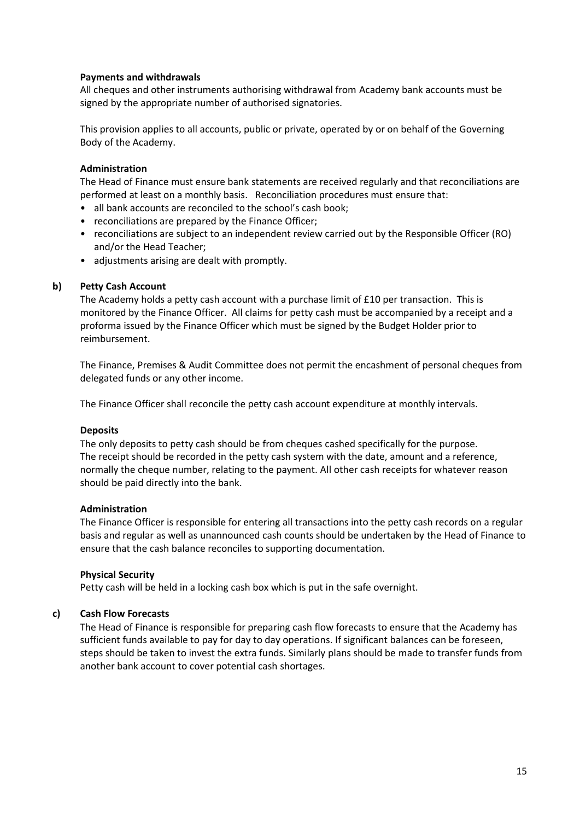### **Payments and withdrawals**

All cheques and other instruments authorising withdrawal from Academy bank accounts must be signed by the appropriate number of authorised signatories.

This provision applies to all accounts, public or private, operated by or on behalf of the Governing Body of the Academy.

### **Administration**

The Head of Finance must ensure bank statements are received regularly and that reconciliations are performed at least on a monthly basis. Reconciliation procedures must ensure that:

- all bank accounts are reconciled to the school's cash book;
- reconciliations are prepared by the Finance Officer;
- reconciliations are subject to an independent review carried out by the Responsible Officer (RO) and/or the Head Teacher;
- adjustments arising are dealt with promptly.

### **b) Petty Cash Account**

The Academy holds a petty cash account with a purchase limit of £10 per transaction. This is monitored by the Finance Officer. All claims for petty cash must be accompanied by a receipt and a proforma issued by the Finance Officer which must be signed by the Budget Holder prior to reimbursement.

The Finance, Premises & Audit Committee does not permit the encashment of personal cheques from delegated funds or any other income.

The Finance Officer shall reconcile the petty cash account expenditure at monthly intervals.

### **Deposits**

The only deposits to petty cash should be from cheques cashed specifically for the purpose. The receipt should be recorded in the petty cash system with the date, amount and a reference, normally the cheque number, relating to the payment. All other cash receipts for whatever reason should be paid directly into the bank.

### **Administration**

The Finance Officer is responsible for entering all transactions into the petty cash records on a regular basis and regular as well as unannounced cash counts should be undertaken by the Head of Finance to ensure that the cash balance reconciles to supporting documentation.

### **Physical Security**

Petty cash will be held in a locking cash box which is put in the safe overnight.

# **c) Cash Flow Forecasts**

The Head of Finance is responsible for preparing cash flow forecasts to ensure that the Academy has sufficient funds available to pay for day to day operations. If significant balances can be foreseen, steps should be taken to invest the extra funds. Similarly plans should be made to transfer funds from another bank account to cover potential cash shortages.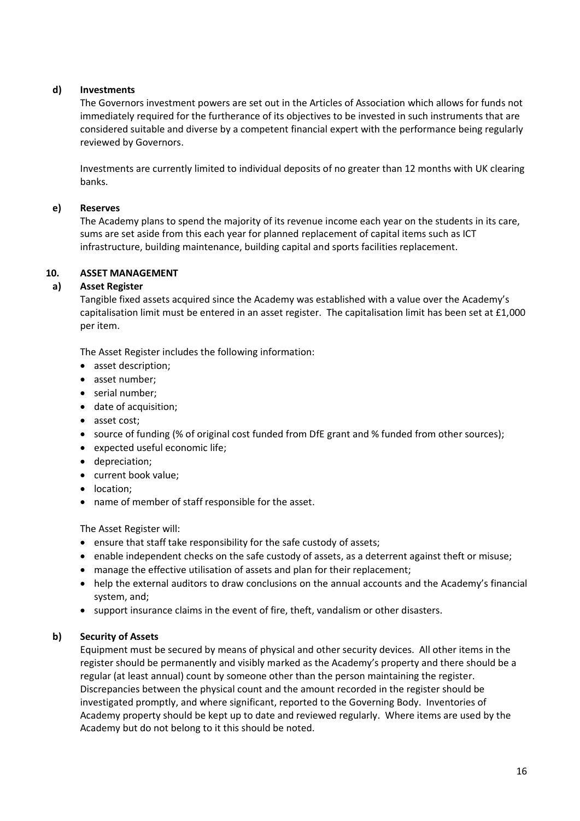# **d) Investments**

The Governors investment powers are set out in the Articles of Association which allows for funds not immediately required for the furtherance of its objectives to be invested in such instruments that are considered suitable and diverse by a competent financial expert with the performance being regularly reviewed by Governors.

Investments are currently limited to individual deposits of no greater than 12 months with UK clearing banks.

### **e) Reserves**

The Academy plans to spend the majority of its revenue income each year on the students in its care, sums are set aside from this each year for planned replacement of capital items such as ICT infrastructure, building maintenance, building capital and sports facilities replacement.

### **10. ASSET MANAGEMENT**

### **a) Asset Register**

Tangible fixed assets acquired since the Academy was established with a value over the Academy's capitalisation limit must be entered in an asset register. The capitalisation limit has been set at £1,000 per item.

The Asset Register includes the following information:

- asset description;
- asset number;
- serial number;
- date of acquisition;
- asset cost;
- source of funding (% of original cost funded from DfE grant and % funded from other sources);
- expected useful economic life;
- depreciation;
- current book value;
- location;
- name of member of staff responsible for the asset.

The Asset Register will:

- ensure that staff take responsibility for the safe custody of assets;
- enable independent checks on the safe custody of assets, as a deterrent against theft or misuse;
- manage the effective utilisation of assets and plan for their replacement;
- help the external auditors to draw conclusions on the annual accounts and the Academy's financial system, and;
- support insurance claims in the event of fire, theft, vandalism or other disasters.

### **b) Security of Assets**

Equipment must be secured by means of physical and other security devices. All other items in the register should be permanently and visibly marked as the Academy's property and there should be a regular (at least annual) count by someone other than the person maintaining the register. Discrepancies between the physical count and the amount recorded in the register should be investigated promptly, and where significant, reported to the Governing Body. Inventories of Academy property should be kept up to date and reviewed regularly. Where items are used by the Academy but do not belong to it this should be noted.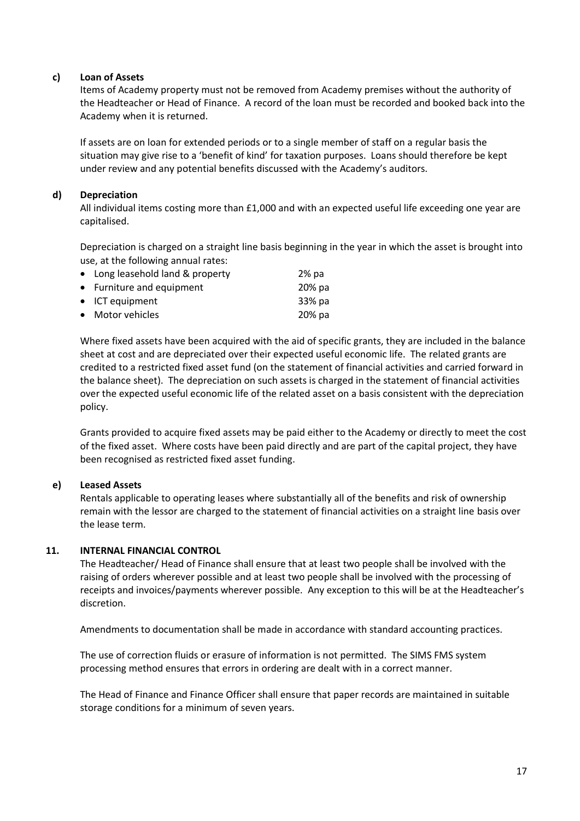### **c) Loan of Assets**

Items of Academy property must not be removed from Academy premises without the authority of the Headteacher or Head of Finance. A record of the loan must be recorded and booked back into the Academy when it is returned.

If assets are on loan for extended periods or to a single member of staff on a regular basis the situation may give rise to a 'benefit of kind' for taxation purposes. Loans should therefore be kept under review and any potential benefits discussed with the Academy's auditors.

# **d) Depreciation**

All individual items costing more than £1,000 and with an expected useful life exceeding one year are capitalised.

Depreciation is charged on a straight line basis beginning in the year in which the asset is brought into use, at the following annual rates:

| • Long leasehold land & property | $2%$ pa |
|----------------------------------|---------|
| • Furniture and equipment        | 20% pa  |
| • ICT equipment                  | 33% pa  |
| • Motor vehicles                 | 20% pa  |

Where fixed assets have been acquired with the aid of specific grants, they are included in the balance sheet at cost and are depreciated over their expected useful economic life. The related grants are credited to a restricted fixed asset fund (on the statement of financial activities and carried forward in the balance sheet). The depreciation on such assets is charged in the statement of financial activities over the expected useful economic life of the related asset on a basis consistent with the depreciation policy.

Grants provided to acquire fixed assets may be paid either to the Academy or directly to meet the cost of the fixed asset. Where costs have been paid directly and are part of the capital project, they have been recognised as restricted fixed asset funding.

# **e) Leased Assets**

Rentals applicable to operating leases where substantially all of the benefits and risk of ownership remain with the lessor are charged to the statement of financial activities on a straight line basis over the lease term.

### **11. INTERNAL FINANCIAL CONTROL**

The Headteacher/ Head of Finance shall ensure that at least two people shall be involved with the raising of orders wherever possible and at least two people shall be involved with the processing of receipts and invoices/payments wherever possible. Any exception to this will be at the Headteacher's discretion.

Amendments to documentation shall be made in accordance with standard accounting practices.

The use of correction fluids or erasure of information is not permitted. The SIMS FMS system processing method ensures that errors in ordering are dealt with in a correct manner.

The Head of Finance and Finance Officer shall ensure that paper records are maintained in suitable storage conditions for a minimum of seven years.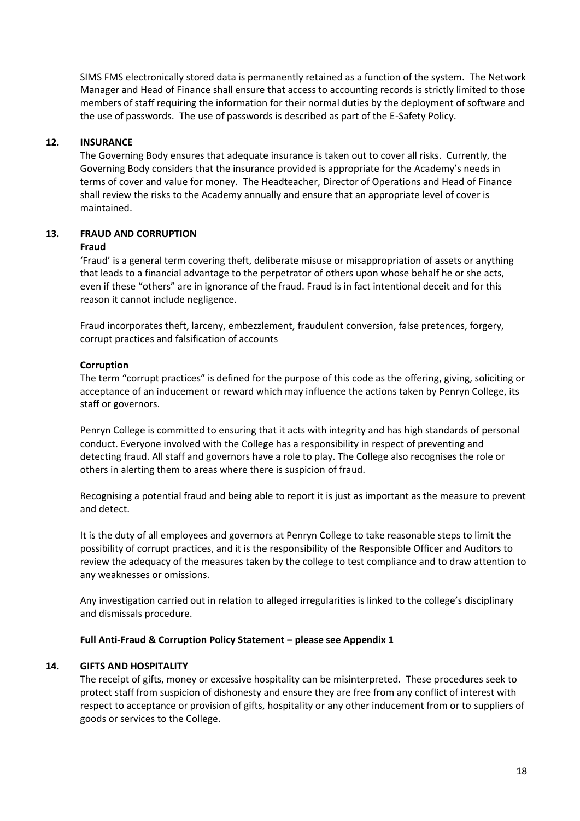SIMS FMS electronically stored data is permanently retained as a function of the system. The Network Manager and Head of Finance shall ensure that access to accounting records is strictly limited to those members of staff requiring the information for their normal duties by the deployment of software and the use of passwords. The use of passwords is described as part of the E-Safety Policy.

### **12. INSURANCE**

The Governing Body ensures that adequate insurance is taken out to cover all risks. Currently, the Governing Body considers that the insurance provided is appropriate for the Academy's needs in terms of cover and value for money. The Headteacher, Director of Operations and Head of Finance shall review the risks to the Academy annually and ensure that an appropriate level of cover is maintained.

# **13. FRAUD AND CORRUPTION**

#### **Fraud**

'Fraud' is a general term covering theft, deliberate misuse or misappropriation of assets or anything that leads to a financial advantage to the perpetrator of others upon whose behalf he or she acts, even if these "others" are in ignorance of the fraud. Fraud is in fact intentional deceit and for this reason it cannot include negligence.

Fraud incorporates theft, larceny, embezzlement, fraudulent conversion, false pretences, forgery, corrupt practices and falsification of accounts

### **Corruption**

The term "corrupt practices" is defined for the purpose of this code as the offering, giving, soliciting or acceptance of an inducement or reward which may influence the actions taken by Penryn College, its staff or governors.

Penryn College is committed to ensuring that it acts with integrity and has high standards of personal conduct. Everyone involved with the College has a responsibility in respect of preventing and detecting fraud. All staff and governors have a role to play. The College also recognises the role or others in alerting them to areas where there is suspicion of fraud.

Recognising a potential fraud and being able to report it is just as important as the measure to prevent and detect.

It is the duty of all employees and governors at Penryn College to take reasonable steps to limit the possibility of corrupt practices, and it is the responsibility of the Responsible Officer and Auditors to review the adequacy of the measures taken by the college to test compliance and to draw attention to any weaknesses or omissions.

Any investigation carried out in relation to alleged irregularities is linked to the college's disciplinary and dismissals procedure.

### **Full Anti-Fraud & Corruption Policy Statement – please see Appendix 1**

# **14. GIFTS AND HOSPITALITY**

The receipt of gifts, money or excessive hospitality can be misinterpreted. These procedures seek to protect staff from suspicion of dishonesty and ensure they are free from any conflict of interest with respect to acceptance or provision of gifts, hospitality or any other inducement from or to suppliers of goods or services to the College.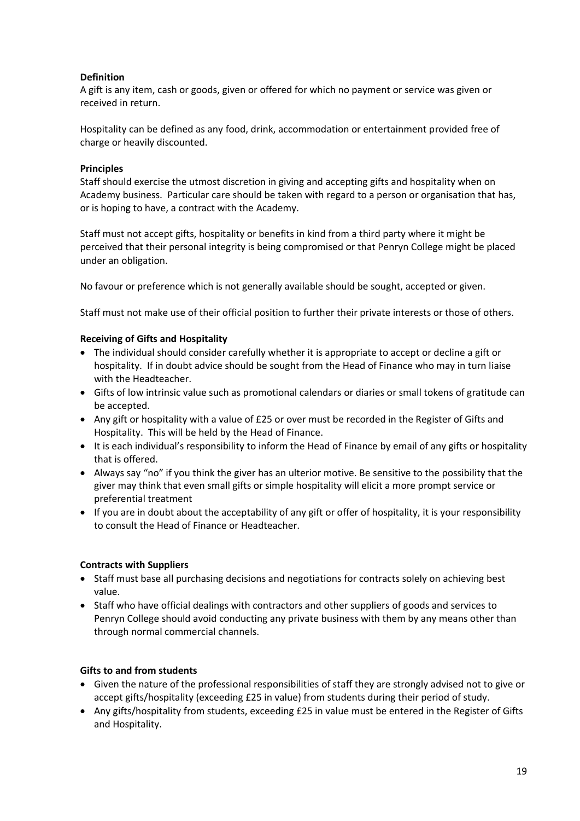# **Definition**

A gift is any item, cash or goods, given or offered for which no payment or service was given or received in return.

Hospitality can be defined as any food, drink, accommodation or entertainment provided free of charge or heavily discounted.

# **Principles**

Staff should exercise the utmost discretion in giving and accepting gifts and hospitality when on Academy business. Particular care should be taken with regard to a person or organisation that has, or is hoping to have, a contract with the Academy.

Staff must not accept gifts, hospitality or benefits in kind from a third party where it might be perceived that their personal integrity is being compromised or that Penryn College might be placed under an obligation.

No favour or preference which is not generally available should be sought, accepted or given.

Staff must not make use of their official position to further their private interests or those of others.

### **Receiving of Gifts and Hospitality**

- The individual should consider carefully whether it is appropriate to accept or decline a gift or hospitality. If in doubt advice should be sought from the Head of Finance who may in turn liaise with the Headteacher.
- Gifts of low intrinsic value such as promotional calendars or diaries or small tokens of gratitude can be accepted.
- Any gift or hospitality with a value of £25 or over must be recorded in the Register of Gifts and Hospitality. This will be held by the Head of Finance.
- It is each individual's responsibility to inform the Head of Finance by email of any gifts or hospitality that is offered.
- Always say "no" if you think the giver has an ulterior motive. Be sensitive to the possibility that the giver may think that even small gifts or simple hospitality will elicit a more prompt service or preferential treatment
- If you are in doubt about the acceptability of any gift or offer of hospitality, it is your responsibility to consult the Head of Finance or Headteacher.

# **Contracts with Suppliers**

- Staff must base all purchasing decisions and negotiations for contracts solely on achieving best value.
- Staff who have official dealings with contractors and other suppliers of goods and services to Penryn College should avoid conducting any private business with them by any means other than through normal commercial channels.

# **Gifts to and from students**

- Given the nature of the professional responsibilities of staff they are strongly advised not to give or accept gifts/hospitality (exceeding £25 in value) from students during their period of study.
- Any gifts/hospitality from students, exceeding £25 in value must be entered in the Register of Gifts and Hospitality.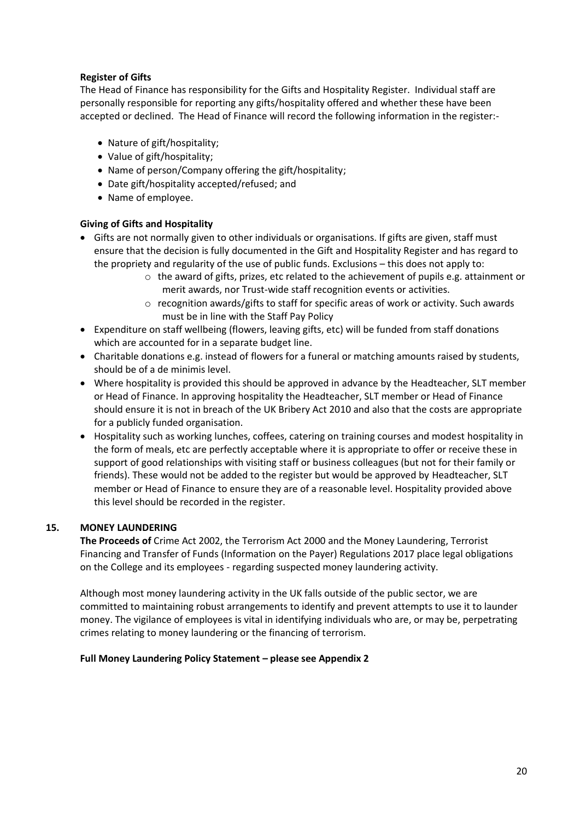# **Register of Gifts**

The Head of Finance has responsibility for the Gifts and Hospitality Register. Individual staff are personally responsible for reporting any gifts/hospitality offered and whether these have been accepted or declined. The Head of Finance will record the following information in the register:-

- Nature of gift/hospitality;
- Value of gift/hospitality;
- Name of person/Company offering the gift/hospitality;
- Date gift/hospitality accepted/refused; and
- Name of employee.

# **Giving of Gifts and Hospitality**

- Gifts are not normally given to other individuals or organisations. If gifts are given, staff must ensure that the decision is fully documented in the Gift and Hospitality Register and has regard to the propriety and regularity of the use of public funds. Exclusions – this does not apply to:
	- $\circ$  the award of gifts, prizes, etc related to the achievement of pupils e.g. attainment or merit awards, nor Trust-wide staff recognition events or activities.
	- $\circ$  recognition awards/gifts to staff for specific areas of work or activity. Such awards must be in line with the Staff Pay Policy
- Expenditure on staff wellbeing (flowers, leaving gifts, etc) will be funded from staff donations which are accounted for in a separate budget line.
- Charitable donations e.g. instead of flowers for a funeral or matching amounts raised by students, should be of a de minimis level.
- Where hospitality is provided this should be approved in advance by the Headteacher, SLT member or Head of Finance. In approving hospitality the Headteacher, SLT member or Head of Finance should ensure it is not in breach of the UK Bribery Act 2010 and also that the costs are appropriate for a publicly funded organisation.
- Hospitality such as working lunches, coffees, catering on training courses and modest hospitality in the form of meals, etc are perfectly acceptable where it is appropriate to offer or receive these in support of good relationships with visiting staff or business colleagues (but not for their family or friends). These would not be added to the register but would be approved by Headteacher, SLT member or Head of Finance to ensure they are of a reasonable level. Hospitality provided above this level should be recorded in the register.

# **15. MONEY LAUNDERING**

**The Proceeds of** Crime Act 2002, the Terrorism Act 2000 and the Money Laundering, Terrorist Financing and Transfer of Funds (Information on the Payer) Regulations 2017 place legal obligations on the College and its employees - regarding suspected money laundering activity.

Although most money laundering activity in the UK falls outside of the public sector, we are committed to maintaining robust arrangements to identify and prevent attempts to use it to launder money. The vigilance of employees is vital in identifying individuals who are, or may be, perpetrating crimes relating to money laundering or the financing of terrorism.

### **Full Money Laundering Policy Statement – please see Appendix 2**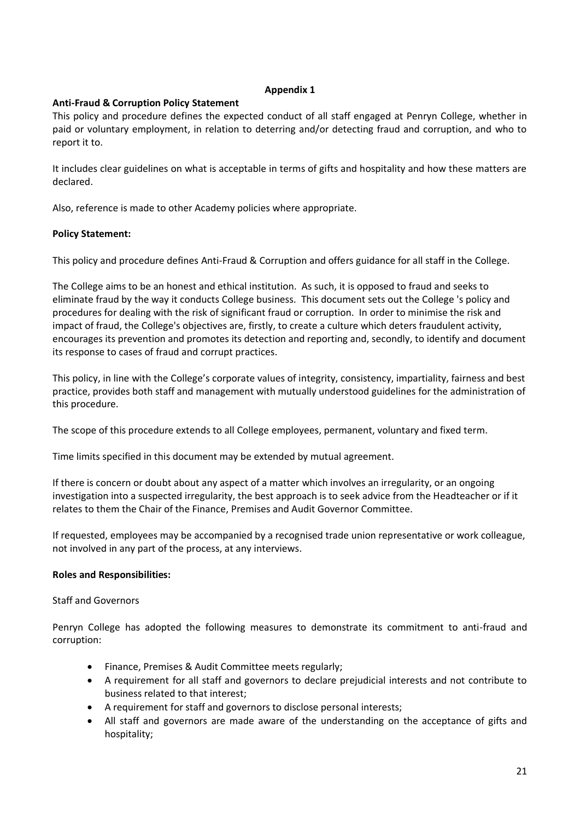### **Appendix 1**

# **Anti-Fraud & Corruption Policy Statement**

This policy and procedure defines the expected conduct of all staff engaged at Penryn College, whether in paid or voluntary employment, in relation to deterring and/or detecting fraud and corruption, and who to report it to.

It includes clear guidelines on what is acceptable in terms of gifts and hospitality and how these matters are declared.

Also, reference is made to other Academy policies where appropriate.

### **Policy Statement:**

This policy and procedure defines Anti-Fraud & Corruption and offers guidance for all staff in the College.

The College aims to be an honest and ethical institution. As such, it is opposed to fraud and seeks to eliminate fraud by the way it conducts College business. This document sets out the College 's policy and procedures for dealing with the risk of significant fraud or corruption. In order to minimise the risk and impact of fraud, the College's objectives are, firstly, to create a culture which deters fraudulent activity, encourages its prevention and promotes its detection and reporting and, secondly, to identify and document its response to cases of fraud and corrupt practices.

This policy, in line with the College's corporate values of integrity, consistency, impartiality, fairness and best practice, provides both staff and management with mutually understood guidelines for the administration of this procedure.

The scope of this procedure extends to all College employees, permanent, voluntary and fixed term.

Time limits specified in this document may be extended by mutual agreement.

If there is concern or doubt about any aspect of a matter which involves an irregularity, or an ongoing investigation into a suspected irregularity, the best approach is to seek advice from the Headteacher or if it relates to them the Chair of the Finance, Premises and Audit Governor Committee.

If requested, employees may be accompanied by a recognised trade union representative or work colleague, not involved in any part of the process, at any interviews.

# **Roles and Responsibilities:**

### Staff and Governors

Penryn College has adopted the following measures to demonstrate its commitment to anti-fraud and corruption:

- Finance, Premises & Audit Committee meets regularly;
- A requirement for all staff and governors to declare prejudicial interests and not contribute to business related to that interest;
- A requirement for staff and governors to disclose personal interests;
- All staff and governors are made aware of the understanding on the acceptance of gifts and hospitality;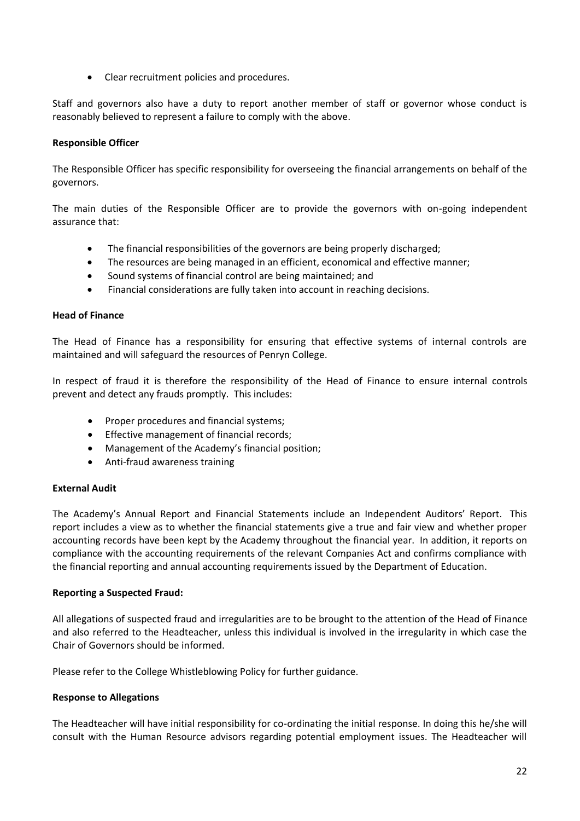• Clear recruitment policies and procedures.

Staff and governors also have a duty to report another member of staff or governor whose conduct is reasonably believed to represent a failure to comply with the above.

# **Responsible Officer**

The Responsible Officer has specific responsibility for overseeing the financial arrangements on behalf of the governors.

The main duties of the Responsible Officer are to provide the governors with on-going independent assurance that:

- The financial responsibilities of the governors are being properly discharged;
- The resources are being managed in an efficient, economical and effective manner;
- Sound systems of financial control are being maintained; and
- Financial considerations are fully taken into account in reaching decisions.

### **Head of Finance**

The Head of Finance has a responsibility for ensuring that effective systems of internal controls are maintained and will safeguard the resources of Penryn College.

In respect of fraud it is therefore the responsibility of the Head of Finance to ensure internal controls prevent and detect any frauds promptly. This includes:

- Proper procedures and financial systems;
- Effective management of financial records;
- Management of the Academy's financial position;
- Anti-fraud awareness training

### **External Audit**

The Academy's Annual Report and Financial Statements include an Independent Auditors' Report. This report includes a view as to whether the financial statements give a true and fair view and whether proper accounting records have been kept by the Academy throughout the financial year. In addition, it reports on compliance with the accounting requirements of the relevant Companies Act and confirms compliance with the financial reporting and annual accounting requirements issued by the Department of Education.

### **Reporting a Suspected Fraud:**

All allegations of suspected fraud and irregularities are to be brought to the attention of the Head of Finance and also referred to the Headteacher, unless this individual is involved in the irregularity in which case the Chair of Governors should be informed.

Please refer to the College Whistleblowing Policy for further guidance.

### **Response to Allegations**

The Headteacher will have initial responsibility for co-ordinating the initial response. In doing this he/she will consult with the Human Resource advisors regarding potential employment issues. The Headteacher will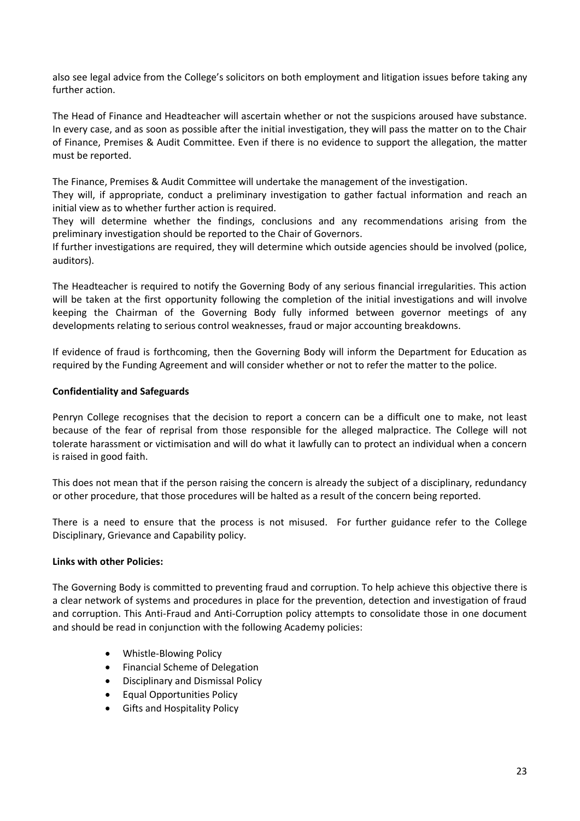also see legal advice from the College's solicitors on both employment and litigation issues before taking any further action.

The Head of Finance and Headteacher will ascertain whether or not the suspicions aroused have substance. In every case, and as soon as possible after the initial investigation, they will pass the matter on to the Chair of Finance, Premises & Audit Committee. Even if there is no evidence to support the allegation, the matter must be reported.

The Finance, Premises & Audit Committee will undertake the management of the investigation.

They will, if appropriate, conduct a preliminary investigation to gather factual information and reach an initial view as to whether further action is required.

They will determine whether the findings, conclusions and any recommendations arising from the preliminary investigation should be reported to the Chair of Governors.

If further investigations are required, they will determine which outside agencies should be involved (police, auditors).

The Headteacher is required to notify the Governing Body of any serious financial irregularities. This action will be taken at the first opportunity following the completion of the initial investigations and will involve keeping the Chairman of the Governing Body fully informed between governor meetings of any developments relating to serious control weaknesses, fraud or major accounting breakdowns.

If evidence of fraud is forthcoming, then the Governing Body will inform the Department for Education as required by the Funding Agreement and will consider whether or not to refer the matter to the police.

### **Confidentiality and Safeguards**

Penryn College recognises that the decision to report a concern can be a difficult one to make, not least because of the fear of reprisal from those responsible for the alleged malpractice. The College will not tolerate harassment or victimisation and will do what it lawfully can to protect an individual when a concern is raised in good faith.

This does not mean that if the person raising the concern is already the subject of a disciplinary, redundancy or other procedure, that those procedures will be halted as a result of the concern being reported.

There is a need to ensure that the process is not misused. For further guidance refer to the College Disciplinary, Grievance and Capability policy.

### **Links with other Policies:**

The Governing Body is committed to preventing fraud and corruption. To help achieve this objective there is a clear network of systems and procedures in place for the prevention, detection and investigation of fraud and corruption. This Anti-Fraud and Anti-Corruption policy attempts to consolidate those in one document and should be read in conjunction with the following Academy policies:

- Whistle-Blowing Policy
- Financial Scheme of Delegation
- Disciplinary and Dismissal Policy
- Equal Opportunities Policy
- Gifts and Hospitality Policy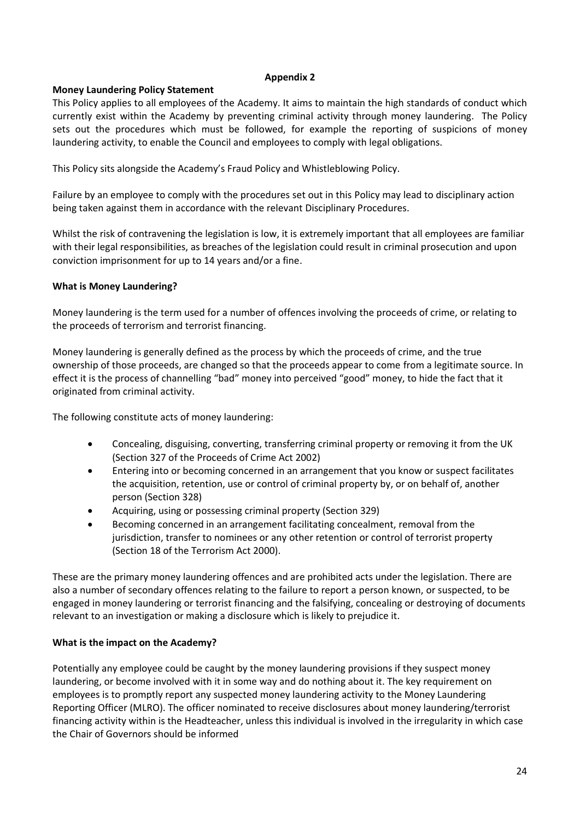### **Appendix 2**

# **Money Laundering Policy Statement**

This Policy applies to all employees of the Academy. It aims to maintain the high standards of conduct which currently exist within the Academy by preventing criminal activity through money laundering. The Policy sets out the procedures which must be followed, for example the reporting of suspicions of money laundering activity, to enable the Council and employees to comply with legal obligations.

This Policy sits alongside the Academy's Fraud Policy and Whistleblowing Policy.

Failure by an employee to comply with the procedures set out in this Policy may lead to disciplinary action being taken against them in accordance with the relevant Disciplinary Procedures.

Whilst the risk of contravening the legislation is low, it is extremely important that all employees are familiar with their legal responsibilities, as breaches of the legislation could result in criminal prosecution and upon conviction imprisonment for up to 14 years and/or a fine.

### **What is Money Laundering?**

Money laundering is the term used for a number of offences involving the proceeds of crime, or relating to the proceeds of terrorism and terrorist financing.

Money laundering is generally defined as the process by which the proceeds of crime, and the true ownership of those proceeds, are changed so that the proceeds appear to come from a legitimate source. In effect it is the process of channelling "bad" money into perceived "good" money, to hide the fact that it originated from criminal activity.

The following constitute acts of money laundering:

- Concealing, disguising, converting, transferring criminal property or removing it from the UK (Section 327 of the Proceeds of Crime Act 2002)
- Entering into or becoming concerned in an arrangement that you know or suspect facilitates the acquisition, retention, use or control of criminal property by, or on behalf of, another person (Section 328)
- Acquiring, using or possessing criminal property (Section 329)
- Becoming concerned in an arrangement facilitating concealment, removal from the jurisdiction, transfer to nominees or any other retention or control of terrorist property (Section 18 of the Terrorism Act 2000).

These are the primary money laundering offences and are prohibited acts under the legislation. There are also a number of secondary offences relating to the failure to report a person known, or suspected, to be engaged in money laundering or terrorist financing and the falsifying, concealing or destroying of documents relevant to an investigation or making a disclosure which is likely to prejudice it.

### **What is the impact on the Academy?**

Potentially any employee could be caught by the money laundering provisions if they suspect money laundering, or become involved with it in some way and do nothing about it. The key requirement on employees is to promptly report any suspected money laundering activity to the Money Laundering Reporting Officer (MLRO). The officer nominated to receive disclosures about money laundering/terrorist financing activity within is the Headteacher, unless this individual is involved in the irregularity in which case the Chair of Governors should be informed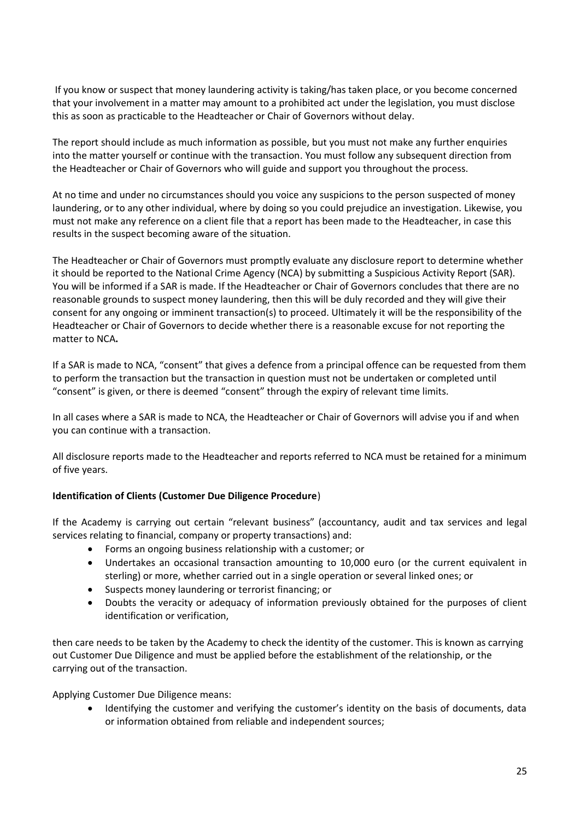If you know or suspect that money laundering activity is taking/has taken place, or you become concerned that your involvement in a matter may amount to a prohibited act under the legislation, you must disclose this as soon as practicable to the Headteacher or Chair of Governors without delay.

The report should include as much information as possible, but you must not make any further enquiries into the matter yourself or continue with the transaction. You must follow any subsequent direction from the Headteacher or Chair of Governors who will guide and support you throughout the process.

At no time and under no circumstances should you voice any suspicions to the person suspected of money laundering, or to any other individual, where by doing so you could prejudice an investigation. Likewise, you must not make any reference on a client file that a report has been made to the Headteacher, in case this results in the suspect becoming aware of the situation.

The Headteacher or Chair of Governors must promptly evaluate any disclosure report to determine whether it should be reported to the National Crime Agency (NCA) by submitting a Suspicious Activity Report (SAR). You will be informed if a SAR is made. If the Headteacher or Chair of Governors concludes that there are no reasonable grounds to suspect money laundering, then this will be duly recorded and they will give their consent for any ongoing or imminent transaction(s) to proceed. Ultimately it will be the responsibility of the Headteacher or Chair of Governors to decide whether there is a reasonable excuse for not reporting the matter to NCA**.**

If a SAR is made to NCA, "consent" that gives a defence from a principal offence can be requested from them to perform the transaction but the transaction in question must not be undertaken or completed until "consent" is given, or there is deemed "consent" through the expiry of relevant time limits.

In all cases where a SAR is made to NCA, the Headteacher or Chair of Governors will advise you if and when you can continue with a transaction.

All disclosure reports made to the Headteacher and reports referred to NCA must be retained for a minimum of five years.

# **Identification of Clients (Customer Due Diligence Procedure**)

If the Academy is carrying out certain "relevant business" (accountancy, audit and tax services and legal services relating to financial, company or property transactions) and:

- Forms an ongoing business relationship with a customer; or
- Undertakes an occasional transaction amounting to 10,000 euro (or the current equivalent in sterling) or more, whether carried out in a single operation or several linked ones; or
- Suspects money laundering or terrorist financing; or
- Doubts the veracity or adequacy of information previously obtained for the purposes of client identification or verification,

then care needs to be taken by the Academy to check the identity of the customer. This is known as carrying out Customer Due Diligence and must be applied before the establishment of the relationship, or the carrying out of the transaction.

Applying Customer Due Diligence means:

Identifying the customer and verifying the customer's identity on the basis of documents, data or information obtained from reliable and independent sources;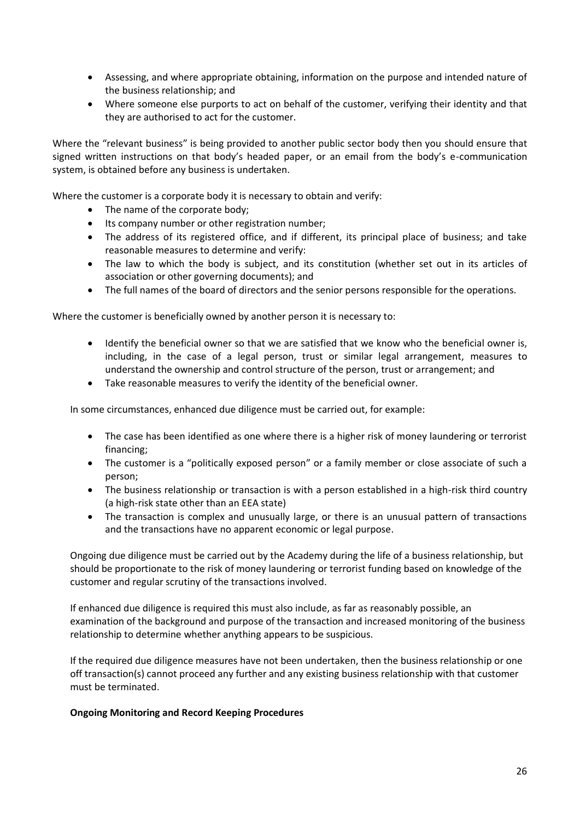- Assessing, and where appropriate obtaining, information on the purpose and intended nature of the business relationship; and
- Where someone else purports to act on behalf of the customer, verifying their identity and that they are authorised to act for the customer.

Where the "relevant business" is being provided to another public sector body then you should ensure that signed written instructions on that body's headed paper, or an email from the body's e-communication system, is obtained before any business is undertaken.

Where the customer is a corporate body it is necessary to obtain and verify:

- The name of the corporate body;
- Its company number or other registration number;
- The address of its registered office, and if different, its principal place of business; and take reasonable measures to determine and verify:
- The law to which the body is subject, and its constitution (whether set out in its articles of association or other governing documents); and
- The full names of the board of directors and the senior persons responsible for the operations.

Where the customer is beneficially owned by another person it is necessary to:

- Identify the beneficial owner so that we are satisfied that we know who the beneficial owner is, including, in the case of a legal person, trust or similar legal arrangement, measures to understand the ownership and control structure of the person, trust or arrangement; and
- Take reasonable measures to verify the identity of the beneficial owner.

In some circumstances, enhanced due diligence must be carried out, for example:

- The case has been identified as one where there is a higher risk of money laundering or terrorist financing;
- The customer is a "politically exposed person" or a family member or close associate of such a person;
- The business relationship or transaction is with a person established in a high-risk third country (a high-risk state other than an EEA state)
- The transaction is complex and unusually large, or there is an unusual pattern of transactions and the transactions have no apparent economic or legal purpose.

Ongoing due diligence must be carried out by the Academy during the life of a business relationship, but should be proportionate to the risk of money laundering or terrorist funding based on knowledge of the customer and regular scrutiny of the transactions involved.

If enhanced due diligence is required this must also include, as far as reasonably possible, an examination of the background and purpose of the transaction and increased monitoring of the business relationship to determine whether anything appears to be suspicious.

If the required due diligence measures have not been undertaken, then the business relationship or one off transaction(s) cannot proceed any further and any existing business relationship with that customer must be terminated.

### **Ongoing Monitoring and Record Keeping Procedures**